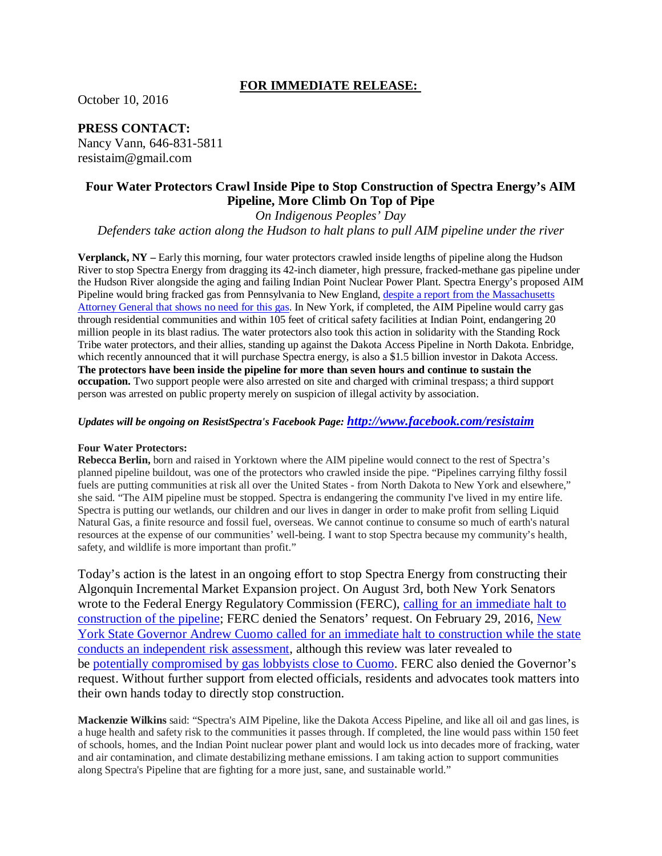# **FOR IMMEDIATE RELEASE:**

October 10, 2016

**PRESS CONTACT:**

Nancy Vann, 646-831-5811 resistaim@gmail.com

# **Four Water Protectors Crawl Inside Pipe to Stop Construction of Spectra Energy's AIM Pipeline, More Climb On Top of Pipe**

*On Indigenous Peoples' Day Defenders take action along the Hudson to halt plans to pull AIM pipeline under the river*

**Verplanck, NY –** Early this morning, four water protectors crawled inside lengths of pipeline along the Hudson River to stop Spectra Energy from dragging its 42-inch diameter, high pressure, fracked-methane gas pipeline under the Hudson River alongside the aging and failing Indian Point Nuclear Power Plant. Spectra Energy's proposed AIM Pipeline would bring fracked gas from Pennsylvania to New England, [despite a report from the Massachusetts](http://www.mass.gov/ago/news-and-updates/press-releases/2015/2015-11-18-electric-reliability-study.html)  [Attorney General that shows no need for this gas.](http://www.mass.gov/ago/news-and-updates/press-releases/2015/2015-11-18-electric-reliability-study.html) In New York, if completed, the AIM Pipeline would carry gas through residential communities and within 105 feet of critical safety facilities at Indian Point, endangering 20 million people in its blast radius. The water protectors also took this action in solidarity with the Standing Rock Tribe water protectors, and their allies, standing up against the Dakota Access Pipeline in North Dakota. Enbridge, which recently announced that it will purchase Spectra energy, is also a \$1.5 billion investor in Dakota Access. **The protectors have been inside the pipeline for more than seven hours and continue to sustain the occupation.** Two support people were also arrested on site and charged with criminal trespass; a third support person was arrested on public property merely on suspicion of illegal activity by association.

## *Updates will be ongoing on ResistSpectra's Facebook Page: <http://www.facebook.com/resistaim>*

#### **Four Water Protectors:**

**Rebecca Berlin,** born and raised in Yorktown where the AIM pipeline would connect to the rest of Spectra's planned pipeline buildout, was one of the protectors who crawled inside the pipe. "Pipelines carrying filthy fossil fuels are putting communities at risk all over the United States - from North Dakota to New York and elsewhere," she said. "The AIM pipeline must be stopped. Spectra is endangering the community I've lived in my entire life. Spectra is putting our wetlands, our children and our lives in danger in order to make profit from selling Liquid Natural Gas, a finite resource and fossil fuel, overseas. We cannot continue to consume so much of earth's natural resources at the expense of our communities' well-being. I want to stop Spectra because my community's health, safety, and wildlife is more important than profit."

Today's action is the latest in an ongoing effort to stop Spectra Energy from constructing their Algonquin Incremental Market Expansion project. On August 3rd, both New York Senators wrote to the Federal Energy Regulatory Commission (FERC), [calling for an immediate halt to](https://www.facebook.com/resistaim/posts/1390197740997306)  [construction of the pipeline;](https://www.facebook.com/resistaim/posts/1390197740997306) FERC denied the Senators' request. On February 29, 2016, [New](http://www.nytimes.com/2016/02/29/nyregion/plan-to-expand-a-pipeline-at-indian-point-raises-concern.html)  [York State Governor Andrew Cuomo called for an immediate halt to construction while the state](http://www.nytimes.com/2016/02/29/nyregion/plan-to-expand-a-pipeline-at-indian-point-raises-concern.html)  [conducts an independent risk assessment,](http://www.nytimes.com/2016/02/29/nyregion/plan-to-expand-a-pipeline-at-indian-point-raises-concern.html) although this review was later revealed to be [potentially compromised by gas lobbyists close to Cuomo.](http://www.politico.com/states/new-york/albany/story/2016/10/anti-fracking-group-accuses-cuomo-of-yielding-to-pipeline-lobbyists-106047) FERC also denied the Governor's request. Without further support from elected officials, residents and advocates took matters into their own hands today to directly stop construction.

**Mackenzie Wilkins** said: "Spectra's AIM Pipeline, like the Dakota Access Pipeline, and like all oil and gas lines, is a huge health and safety risk to the communities it passes through. If completed, the line would pass within 150 feet of schools, homes, and the Indian Point nuclear power plant and would lock us into decades more of fracking, water and air contamination, and climate destabilizing methane emissions. I am taking action to support communities along Spectra's Pipeline that are fighting for a more just, sane, and sustainable world."